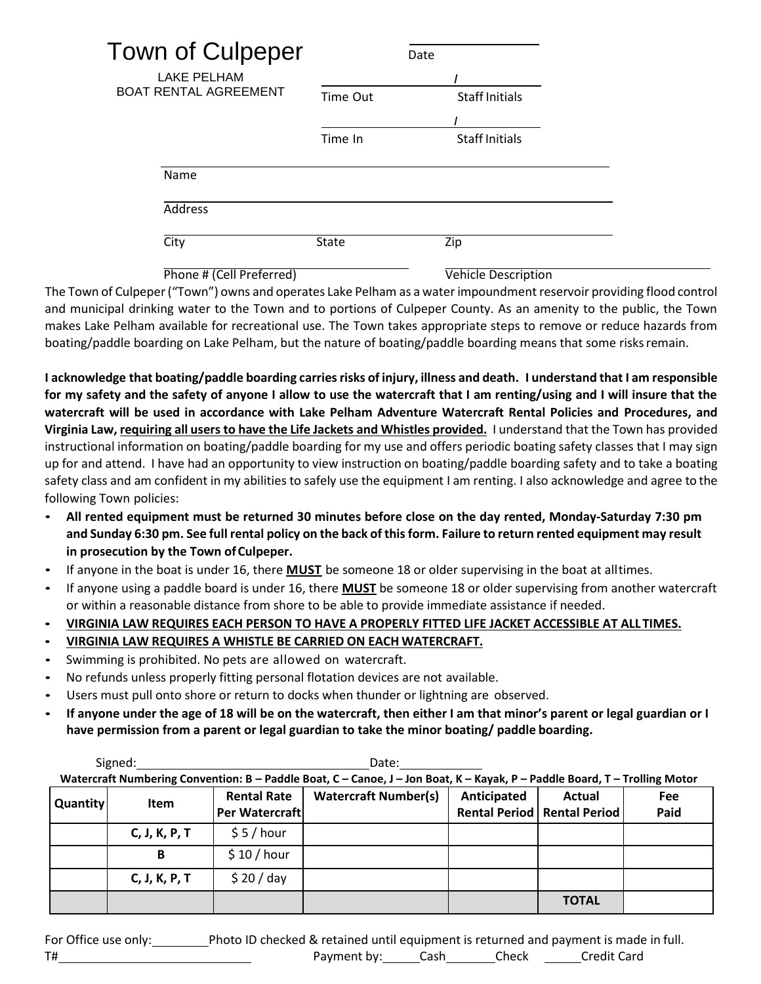| Town of Culpeper                                   | Date     |                       |  |
|----------------------------------------------------|----------|-----------------------|--|
| <b>LAKE PELHAM</b><br><b>BOAT RENTAL AGREEMENT</b> | Time Out | <b>Staff Initials</b> |  |
|                                                    |          |                       |  |
|                                                    | Time In  | <b>Staff Initials</b> |  |
| Name                                               |          |                       |  |
| Address                                            |          |                       |  |
| City                                               | State    | Zip                   |  |

Phone # (Cell Preferred) Vehicle Description

The Town of Culpeper("Town") owns and operates Lake Pelham as a water impoundment reservoir providing flood control and municipal drinking water to the Town and to portions of Culpeper County. As an amenity to the public, the Town makes Lake Pelham available for recreational use. The Town takes appropriate steps to remove or reduce hazards from boating/paddle boarding on Lake Pelham, but the nature of boating/paddle boarding means that some risksremain.

I acknowledge that boating/paddle boarding carries risks of injury, illness and death. I understand that I am responsible **for my safety and the safety of anyone I allow to use the watercraft that I am renting/using and I will insure that the watercraft will be used in accordance with Lake Pelham Adventure Watercraft Rental Policies and Procedures, and Virginia Law, requiring all users to have the Life Jackets and Whistles provided.** I understand that the Town has provided instructional information on boating/paddle boarding for my use and offers periodic boating safety classes that I may sign up for and attend. I have had an opportunity to view instruction on boating/paddle boarding safety and to take a boating safety class and am confident in my abilities to safely use the equipment I am renting. I also acknowledge and agree to the following Town policies:

- **All rented equipment must be returned 30 minutes before close on the day rented, Monday-Saturday 7:30 pm and Sunday 6:30 pm. See full rental policy on the back of this form. Failure to return rented equipment may result in prosecution by the Town ofCulpeper.**
- If anyone in the boat is under 16, there **MUST** be someone 18 or older supervising in the boat at alltimes.
- If anyone using a paddle board is under 16, there **MUST** be someone 18 or older supervising from another watercraft or within a reasonable distance from shore to be able to provide immediate assistance if needed.

• **VIRGINIA LAW REQUIRES EACH PERSON TO HAVE A PROPERLY FITTED LIFE JACKET ACCESSIBLE AT ALLTIMES.**

- **VIRGINIA LAW REQUIRES A WHISTLE BE CARRIED ON EACH WATERCRAFT.**
- Swimming is prohibited. No pets are allowed on watercraft.
- No refunds unless properly fitting personal flotation devices are not available.
- Users must pull onto shore or return to docks when thunder or lightning are observed.
- **If anyone under the age of 18 will be on the watercraft, then either I am that minor's parent or legal guardian or I have permission from a parent or legal guardian to take the minor boating/ paddle boarding.**

|                                                                                                                            | Signed:<br>Date: |                                      |                             |             |                                                |                    |  |  |
|----------------------------------------------------------------------------------------------------------------------------|------------------|--------------------------------------|-----------------------------|-------------|------------------------------------------------|--------------------|--|--|
| Watercraft Numbering Convention: B - Paddle Boat, C - Canoe, J - Jon Boat, K - Kayak, P - Paddle Board, T - Trolling Motor |                  |                                      |                             |             |                                                |                    |  |  |
| Quantity                                                                                                                   | <b>Item</b>      | <b>Rental Rate</b><br>Per Watercraft | <b>Watercraft Number(s)</b> | Anticipated | <b>Actual</b><br>Rental Period   Rental Period | <b>Fee</b><br>Paid |  |  |
|                                                                                                                            | C, J, K, P, T    | \$5/hour                             |                             |             |                                                |                    |  |  |
|                                                                                                                            | В                | \$10/hour                            |                             |             |                                                |                    |  |  |
|                                                                                                                            | C, J, K, P, T    | \$20/day                             |                             |             |                                                |                    |  |  |
|                                                                                                                            |                  |                                      |                             |             | <b>TOTAL</b>                                   |                    |  |  |

For Office use only: Photo ID checked & retained until equipment is returned and payment is made in full. T# T# Check Credit Card Check Credit Card